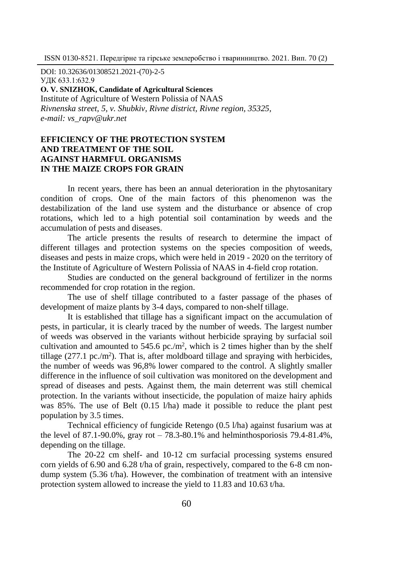DOI: 10.32636/01308521.2021-(70)-2-5 УДК 633.1:632.9 **О. V. SNIZHOK, Candidate of Agricultural Sciences** Institute of Agriculture of Western Polissia of NAAS *Rivnenska street, 5, v. Shubkiv, Rivne district, Rivne region, 35325, e-mail: vs\_rapv@ukr.net* 

# **EFFICIENCY OF THE PROTECTION SYSTEM AND TREATMENT OF THE SOIL AGAINST HARMFUL ORGANISMS IN THE MAIZE CROPS FOR GRAIN**

In recent years, there has been an annual deterioration in the phytosanitary condition of crops. One of the main factors of this phenomenon was the destabilization of the land use system and the disturbance or absence of crop rotations, which led to a high potential soil contamination by weeds and the accumulation of pests and diseases.

The article presents the results of research to determine the impact of different tillages and protection systems on the species composition of weeds, diseases and pests in maize crops, which were held in 2019 - 2020 on the territory of the Institute of Agriculture of Western Polissia of NAAS in 4-field crop rotation.

Studies are conducted on the general background of fertilizer in the norms recommended for crop rotation in the region.

The use of shelf tillage contributed to a faster passage of the phases of development of maize plants by 3-4 days, compared to non-shelf tillage.

It is established that tillage has a significant impact on the accumulation of pests, in particular, it is clearly traced by the number of weeds. The largest number of weeds was observed in the variants without herbicide spraying by surfacial soil cultivation and amounted to  $545.6$  pc./m<sup>2</sup>, which is 2 times higher than by the shelf tillage  $(277.1 \text{ pc./m}^2)$ . That is, after moldboard tillage and spraying with herbicides, the number of weeds was 96,8% lower compared to the control. A slightly smaller difference in the influence of soil cultivation was monitored on the development and spread of diseases and pests. Against them, the main deterrent was still chemical protection. In the variants without insecticide, the population of maize hairy aphids was 85%. The use of Belt (0.15 l/ha) made it possible to reduce the plant pest population by 3.5 times.

Technical efficiency of fungicide Retengo (0.5 l/ha) against fusarium was at the level of  $87.1 - 90.0\%$ , gray rot  $-78.3 - 80.1\%$  and helminthosporiosis  $79.4 - 81.4\%$ . depending on the tillage.

The 20-22 cm shelf- and 10-12 cm surfacial processing systems ensured corn yields of 6.90 and 6.28 t/ha of grain, respectively, compared to the 6-8 cm nondump system (5.36 t/ha). However, the combination of treatment with an intensive protection system allowed to increase the yield to 11.83 and 10.63 t/ha.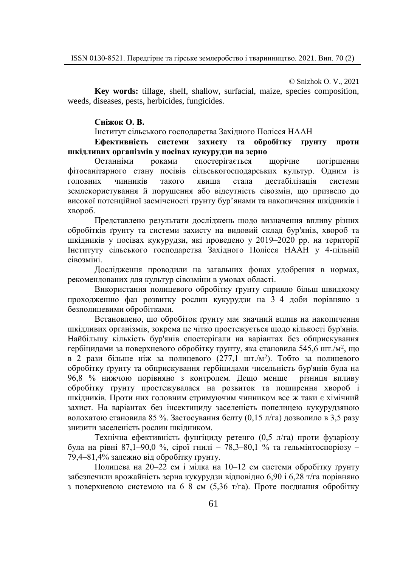© Snizhok О. V., 2021

**Key words:** tillage, shelf, shallow, surfacial, maize, species composition, weeds, diseases, pests, herbicides, fungicides.

#### **Сніжок О. В.**

Інститут сільського господарства Західного Полісся НААН

## **Ефективність системи захисту та обробітку ґрунту проти шкідливих організмів у посівах кукурудзи на зерно**

Останніми роками спостерігається щорічне погіршення фітосанітарного стану посівів сільськогосподарських культур. Одним із головних чинників такого явища стала дестабілізація системи землекористування й порушення або відсутність сівозмін, що призвело до високої потенційної засміченості ґрунту бур'янами та накопичення шкідників і хвороб.

Представлено результати досліджень щодо визначення впливу різних обробітків ґрунту та системи захисту на видовий склад бур'янів, хвороб та шкідників у посівах кукурудзи, які проведено у 2019-2020 рр. на території Інституту сільського господарства Західного Полісся НААН у 4-пільній сівозміні.

Дослідження проводили на загальних фонах удобрення в нормах, рекомендованих для культур сівозміни в умовах області.

Використання полицевого обробітку ґрунту сприяло більш швидкому проходженню фаз розвитку рослин кукурудзи на 3‒4 доби порівняно з безполицевими обробітками.

Встановлено, що обробіток ґрунту має значний вплив на накопичення шкідливих організмів, зокрема це чітко простежується щодо кількості бур'янів. Найбільшу кількість бур'янів спостерігали на варіантах без обприскування гербіцидами за поверхневого обробітку ґрунту, яка становила 545,6 шт./м², що в 2 рази більше ніж за полицевого (277,1 шт./м<sup>2</sup>). Тобто за полицевого обробітку ґрунту та обприскування гербіцидами чисельність бур'янів була на 96,8 % нижчою порівняно з контролем. Дещо менше різниця впливу обробітку ґрунту простежувалася на розвиток та поширення хвороб і шкідників. Проти них головним стримуючим чинником все ж таки є хімічний захист. На варіантах без інсектициду заселеність попелицею кукурудзяною волохатою становила 85 %. Застосування белту (0,15 л/га) дозволило в 3,5 разу знизити заселеність рослин шкідником.

Технічна ефективність фунгіциду ретенго (0,5 л/га) проти фузаріозу була на рівні 87,1–90,0 %, сірої гнилі – 78,3–80,1 % та гельмінтоспоріозу – 79,4‒81,4% залежно від обробітку ґрунту.

Полицева на 20‒22 см і мілка на 10‒12 см системи обробітку ґрунту забезпечили врожайність зерна кукурудзи відповідно 6,90 і 6,28 т/га порівняно з поверхневою системою на 6‒8 см (5,36 т/га). Проте поєднання обробітку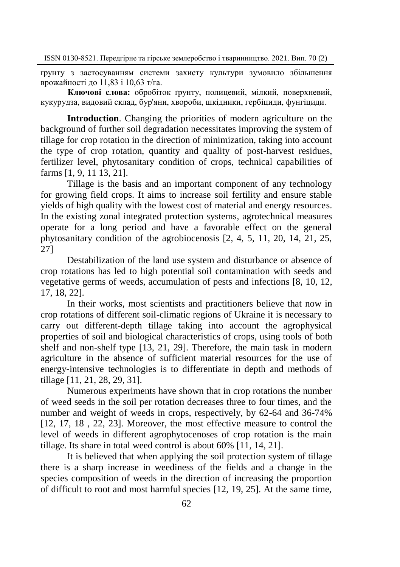ґрунту з застосуванням системи захисту культури зумовило збільшення врожайності до 11,83 і 10,63 т/га.

**Ключові слова:** обробіток ґрунту, полицевий, мілкий, поверхневий, кукурудза, видовий склад, бур'яни, хвороби, шкідники, гербіциди, фунгіциди.

**Introduction**. Changing the priorities of modern agriculture on the background of further soil degradation necessitates improving the system of tillage for crop rotation in the direction of minimization, taking into account the type of crop rotation, quantity and quality of post-harvest residues, fertilizer level, phytosanitary condition of crops, technical capabilities of farms [1, 9, 11 13, 21].

Tillage is the basis and an important component of any technology for growing field crops. It aims to increase soil fertility and ensure stable yields of high quality with the lowest cost of material and energy resources. In the existing zonal integrated protection systems, agrotechnical measures operate for a long period and have a favorable effect on the general phytosanitary condition of the agrobiocenosis [2, 4, 5, 11, 20, 14, 21, 25, 27]

Destabilization of the land use system and disturbance or absence of crop rotations has led to high potential soil contamination with seeds and vegetative germs of weeds, accumulation of pests and infections [8, 10, 12, 17, 18, 22].

In their works, most scientists and practitioners believe that now in crop rotations of different soil-climatic regions of Ukraine it is necessary to carry out different-depth tillage taking into account the agrophysical properties of soil and biological characteristics of crops, using tools of both shelf and non-shelf type [13, 21, 29]. Therefore, the main task in modern agriculture in the absence of sufficient material resources for the use of energy-intensive technologies is to differentiate in depth and methods of tillage [11, 21, 28, 29, 31].

Numerous experiments have shown that in crop rotations the number of weed seeds in the soil per rotation decreases three to four times, and the number and weight of weeds in crops, respectively, by 62-64 and 36-74% [12, 17, 18 , 22, 23]. Moreover, the most effective measure to control the level of weeds in different agrophytocenoses of crop rotation is the main tillage. Its share in total weed control is about 60% [11, 14, 21].

It is believed that when applying the soil protection system of tillage there is a sharp increase in weediness of the fields and a change in the species composition of weeds in the direction of increasing the proportion of difficult to root and most harmful species [12, 19, 25]. At the same time,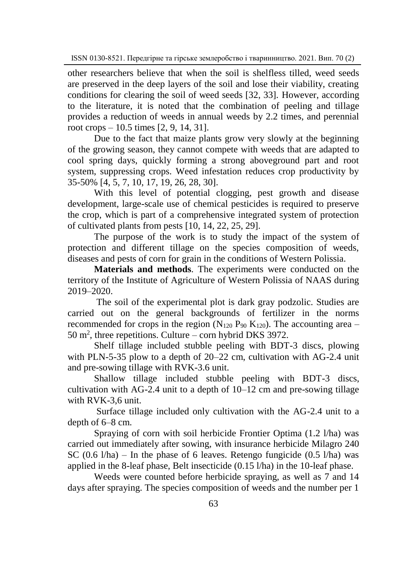other researchers believe that when the soil is shelfless tilled, weed seeds are preserved in the deep layers of the soil and lose their viability, creating conditions for clearing the soil of weed seeds [32, 33]. However, according to the literature, it is noted that the combination of peeling and tillage provides a reduction of weeds in annual weeds by 2.2 times, and perennial root crops – 10.5 times [2, 9, 14, 31].

Due to the fact that maize plants grow very slowly at the beginning of the growing season, they cannot compete with weeds that are adapted to cool spring days, quickly forming a strong aboveground part and root system, suppressing crops. Weed infestation reduces crop productivity by 35-50% [4, 5, 7, 10, 17, 19, 26, 28, 30].

With this level of potential clogging, pest growth and disease development, large-scale use of chemical pesticides is required to preserve the crop, which is part of a comprehensive integrated system of protection of cultivated plants from pests [10, 14, 22, 25, 29].

The purpose of the work is to study the impact of the system of protection and different tillage on the species composition of weeds, diseases and pests of corn for grain in the conditions of Western Polissia.

**Materials and methods**. The experiments were conducted on the territory of the Institute of Agriculture of Western Polissia of NAAS during 2019–2020.

The soil of the experimental plot is dark gray podzolic. Studies are carried out on the general backgrounds of fertilizer in the norms recommended for crops in the region  $(N_{120} P_{90} K_{120})$ . The accounting area –  $50 \text{ m}^2$ , three repetitions. Culture – corn hybrid DKS 3972.

Shelf tillage included stubble peeling with BDT-3 discs, plowing with PLN-5-35 plow to a depth of 20–22 cm, cultivation with AG-2.4 unit and pre-sowing tillage with RVK-3.6 unit.

Shallow tillage included stubble peeling with BDT-3 discs, cultivation with AG-2.4 unit to a depth of 10–12 cm and pre-sowing tillage with RVK-3,6 unit.

Surface tillage included only cultivation with the AG-2.4 unit to a depth of 6–8 cm.

Spraying of corn with soil herbicide Frontier Optima (1.2 l/ha) was carried out immediately after sowing, with insurance herbicide Milagro 240 SC  $(0.6 \text{ l/ha})$  – In the phase of 6 leaves. Retengo fungicide  $(0.5 \text{ l/ha})$  was applied in the 8-leaf phase, Belt insecticide (0.15 l/ha) in the 10-leaf phase.

Weeds were counted before herbicide spraying, as well as 7 and 14 days after spraying. The species composition of weeds and the number per 1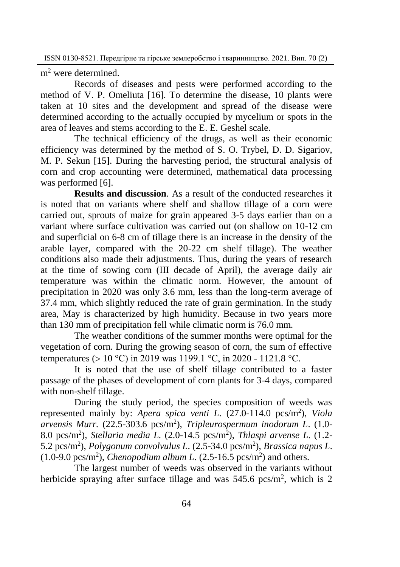m<sup>2</sup> were determined.

Records of diseases and pests were performed according to the method of V. P. Omeliuta [16]. To determine the disease, 10 plants were taken at 10 sites and the development and spread of the disease were determined according to the actually occupied by mycelium or spots in the area of leaves and stems according to the E. E. Geshel scale.

The technical efficiency of the drugs, as well as their economic efficiency was determined by the method of S. O. Trybel, D. D. Sigariov, M. P. Sekun [15]. During the harvesting period, the structural analysis of corn and crop accounting were determined, mathematical data processing was performed [6].

**Results and discussion**. As a result of the conducted researches it is noted that on variants where shelf and shallow tillage of a corn were carried out, sprouts of maize for grain appeared 3-5 days earlier than on a variant where surface cultivation was carried out (on shallow on 10-12 cm and superficial on 6-8 cm of tillage there is an increase in the density of the arable layer, compared with the 20-22 cm shelf tillage). The weather conditions also made their adjustments. Thus, during the years of research at the time of sowing corn (III decade of April), the average daily air temperature was within the climatic norm. However, the amount of precipitation in 2020 was only 3.6 mm, less than the long-term average of 37.4 mm, which slightly reduced the rate of grain germination. In the study area, May is characterized by high humidity. Because in two years more than 130 mm of precipitation fell while climatic norm is 76.0 mm.

The weather conditions of the summer months were optimal for the vegetation of corn. During the growing season of corn, the sum of effective temperatures ( $> 10$  °C) in 2019 was 1199.1 °C, in 2020 - 1121.8 °C.

It is noted that the use of shelf tillage contributed to a faster passage of the phases of development of corn plants for 3-4 days, compared with non-shelf tillage.

During the study period, the species composition of weeds was represented mainly by: *Apera spica venti L*. (27.0-114.0 pcs/m<sup>2</sup> ), *Viola arvensis Murr.* (22.5-303.6 pcs/m<sup>2</sup> ), *Tripleurospermum inodorum L*. (1.0- 8.0 pcs/m<sup>2</sup> ), *Stellaria media L.* (2.0-14.5 pcs/m<sup>2</sup> ), *Thlaspi arvense L*. (1.2- 5.2 pcs/m<sup>2</sup> ), *Polygonum convolvulus L*. (2.5-34.0 pcs/m<sup>2</sup> ), *Brassica napus L*.  $(1.0\n-9.0~\text{pcs/m}^2)$ , *Chenopodium album L.*  $(2.5\n-16.5~\text{pcs/m}^2)$  and others.

The largest number of weeds was observed in the variants without herbicide spraying after surface tillage and was  $545.6$  pcs/m<sup>2</sup>, which is 2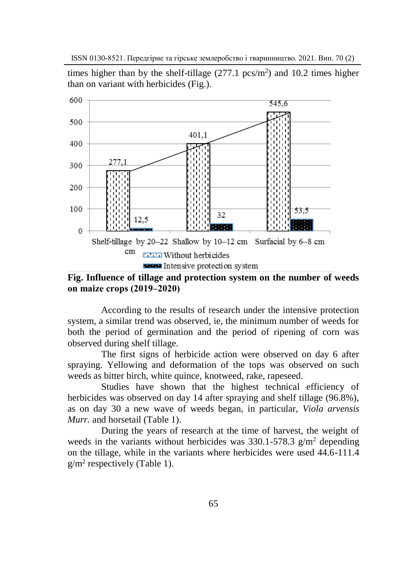times higher than by the shelf-tillage  $(277.1 \text{ pcs/m}^2)$  and 10.2 times higher than on variant with herbicides (Fig.).



**Fig. Influence of tillage and protection system on the number of weeds on maize crops (2019‒2020)**

According to the results of research under the intensive protection system, a similar trend was observed, ie, the minimum number of weeds for both the period of germination and the period of ripening of corn was observed during shelf tillage.

The first signs of herbicide action were observed on day 6 after spraying. Yellowing and deformation of the tops was observed on such weeds as bitter birch, white quince, knotweed, rake, rapeseed.

Studies have shown that the highest technical efficiency of herbicides was observed on day 14 after spraying and shelf tillage (96.8%), as on day 30 a new wave of weeds began, in particular, *Viola arvensis Murr.* and horsetail (Table 1).

During the years of research at the time of harvest, the weight of weeds in the variants without herbicides was  $330.1 - 578.3$  g/m<sup>2</sup> depending on the tillage, while in the variants where herbicides were used 44.6-111.4  $g/m^2$  respectively (Table 1).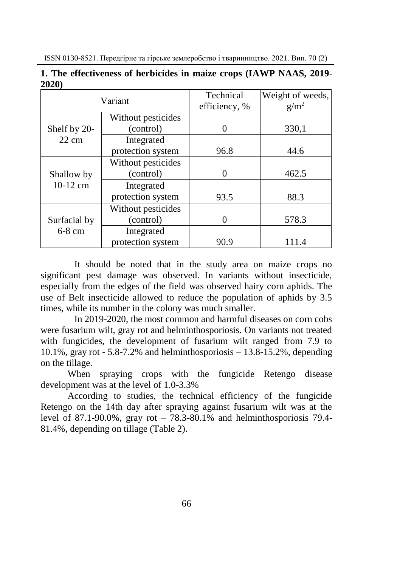|                 | Variant            | Technical     | Weight of weeds, |  |  |
|-----------------|--------------------|---------------|------------------|--|--|
|                 |                    | efficiency, % | $g/m^2$          |  |  |
|                 | Without pesticides |               |                  |  |  |
| Shelf by 20-    | (control)          |               | 330,1            |  |  |
| $22 \text{ cm}$ | Integrated         |               |                  |  |  |
|                 | protection system  | 96.8          | 44.6             |  |  |
|                 | Without pesticides |               |                  |  |  |
| Shallow by      | (control)          |               | 462.5            |  |  |
| $10-12$ cm      | Integrated         |               |                  |  |  |
|                 | protection system  | 93.5          | 88.3             |  |  |
|                 | Without pesticides |               |                  |  |  |
| Surfacial by    | (control)          |               | 578.3            |  |  |
| $6-8$ cm        | Integrated         |               |                  |  |  |
|                 | protection system  | 90.9          | 111.4            |  |  |

**1. The effectiveness of herbicides in maize crops (IAWP NAAS, 2019- 2020)**

It should be noted that in the study area on maize crops no significant pest damage was observed. In variants without insecticide, especially from the edges of the field was observed hairy corn aphids. The use of Belt insecticide allowed to reduce the population of aphids by 3.5 times, while its number in the colony was much smaller.

In 2019-2020, the most common and harmful diseases on corn cobs were fusarium wilt, gray rot and helminthosporiosis. On variants not treated with fungicides, the development of fusarium wilt ranged from 7.9 to 10.1%, gray rot - 5.8-7.2% and helminthosporiosis  $-13.8-15.2$ %, depending on the tillage.

When spraying crops with the fungicide Retengo disease development was at the level of 1.0-3.3%

According to studies, the technical efficiency of the fungicide Retengo on the 14th day after spraying against fusarium wilt was at the level of 87.1-90.0%, gray rot – 78.3-80.1% and helminthosporiosis 79.4- 81.4%, depending on tillage (Table 2).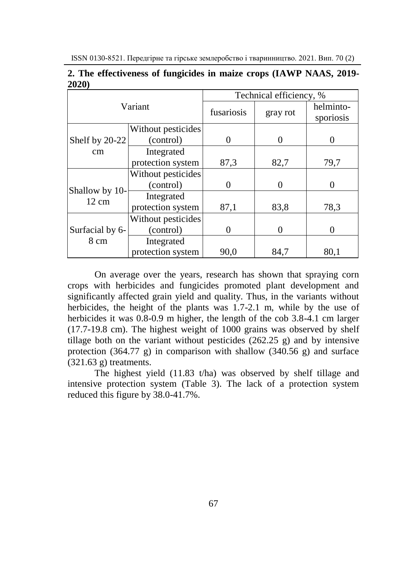|             | 2. The effectiveness of fungicides in maize crops (IAWP NAAS, 2019- |  |  |  |
|-------------|---------------------------------------------------------------------|--|--|--|
| <b>2020</b> |                                                                     |  |  |  |

|                                   |                    | Technical efficiency, % |          |                        |  |  |  |
|-----------------------------------|--------------------|-------------------------|----------|------------------------|--|--|--|
|                                   | Variant            | fusariosis              | gray rot | helminto-<br>sporiosis |  |  |  |
|                                   | Without pesticides |                         |          |                        |  |  |  |
| Shelf by 20-22                    | (control)          | 0                       | $\theta$ |                        |  |  |  |
| cm                                | Integrated         |                         |          |                        |  |  |  |
|                                   | protection system  | 87,3                    | 82,7     | 79,7                   |  |  |  |
|                                   | Without pesticides |                         |          |                        |  |  |  |
|                                   | (control)          |                         | 0        | 0                      |  |  |  |
| Shallow by 10-<br>$12 \text{ cm}$ | Integrated         |                         |          |                        |  |  |  |
|                                   | protection system  | 87,1                    | 83,8     | 78,3                   |  |  |  |
|                                   | Without pesticides |                         |          |                        |  |  |  |
| Surfacial by 6-                   | (control)          | 0                       | 0        | $\theta$               |  |  |  |
| 8 cm                              | Integrated         |                         |          |                        |  |  |  |
|                                   | protection system  | 90,0                    | 84,7     | 80,1                   |  |  |  |

On average over the years, research has shown that spraying corn crops with herbicides and fungicides promoted plant development and significantly affected grain yield and quality. Thus, in the variants without herbicides, the height of the plants was 1.7-2.1 m, while by the use of herbicides it was  $0.8-0.9$  m higher, the length of the cob 3.8-4.1 cm larger (17.7-19.8 cm). The highest weight of 1000 grains was observed by shelf tillage both on the variant without pesticides (262.25 g) and by intensive protection  $(364.77 \text{ g})$  in comparison with shallow  $(340.56 \text{ g})$  and surface  $(321.63 \text{ g})$  treatments.

The highest yield (11.83 t/ha) was observed by shelf tillage and intensive protection system (Table 3). The lack of a protection system reduced this figure by 38.0-41.7%.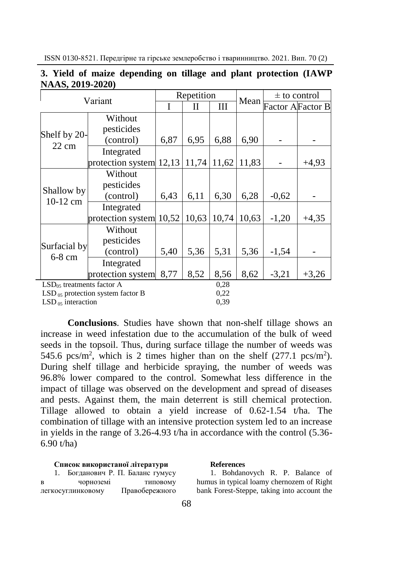| Variant                               |                   | Repetition |       |       | Mean  | $\pm$ to control |         |
|---------------------------------------|-------------------|------------|-------|-------|-------|------------------|---------|
|                                       |                   |            | Н     | Ш     |       | Factor AFactor B |         |
| Shelf by 20-                          | Without           |            |       |       |       |                  |         |
|                                       | pesticides        |            |       |       |       |                  |         |
| $22 \text{ cm}$                       | (control)         | 6,87       | 6,95  | 6,88  | 6,90  |                  |         |
|                                       | Integrated        |            |       |       |       |                  |         |
|                                       | protection system | 12,13      | 11,74 | 11,62 | 11,83 |                  | $+4.93$ |
|                                       | Without           |            |       |       |       |                  |         |
|                                       | pesticides        |            |       |       |       |                  |         |
| Shallow by<br>10-12 cm                | (control)         | 6,43       | 6,11  | 6,30  | 6,28  | $-0,62$          |         |
|                                       | Integrated        |            |       |       |       |                  |         |
|                                       | protection system | 10,52      | 10,63 | 10,74 | 10,63 | $-1,20$          | $+4,35$ |
|                                       | Without           |            |       |       |       |                  |         |
|                                       | pesticides        |            |       |       |       |                  |         |
| Surfacial by<br>$6-8$ cm              | (control)         | 5,40       | 5,36  | 5,31  | 5,36  | $-1,54$          |         |
|                                       | Integrated        |            |       |       |       |                  |         |
|                                       | protection system | 8,77       | 8,52  | 8,56  | 8,62  | $-3,21$          | $+3,26$ |
| $LSD05$ treatments factor A           |                   |            | 0.28  |       |       |                  |         |
| $LSD_{05}$ protection system factor B |                   |            | 0,22  |       |       |                  |         |
| $LSD_{.05}$ interaction               |                   |            | 0,39  |       |       |                  |         |

## **3. Yield of maize depending on tillage and plant protection (IAWP NAAS, 2019-2020)**

**Conclusions**. Studies have shown that non-shelf tillage shows an increase in weed infestation due to the accumulation of the bulk of weed seeds in the topsoil. Thus, during surface tillage the number of weeds was 545.6 pcs/m<sup>2</sup>, which is 2 times higher than on the shelf  $(277.1 \text{ pcs/m}^2)$ . During shelf tillage and herbicide spraying, the number of weeds was 96.8% lower compared to the control. Somewhat less difference in the impact of tillage was observed on the development and spread of diseases and pests. Against them, the main deterrent is still chemical protection. Tillage allowed to obtain a yield increase of 0.62-1.54 t/ha. The combination of tillage with an intensive protection system led to an increase in yields in the range of 3.26-4.93 t/ha in accordance with the control (5.36- 6.90 t/ha)

### **Список використаної літератури**

|   |                   | Богданович Р. П. Баланс гумусу |
|---|-------------------|--------------------------------|
| B | чорноземі         | ТИПОВОМУ                       |
|   | легкосуглинковому | Правобережного                 |

#### **References**

1. Bohdanovych R. P. Balance of humus in typical loamy chernozem of Right bank Forest-Steppe, taking into account the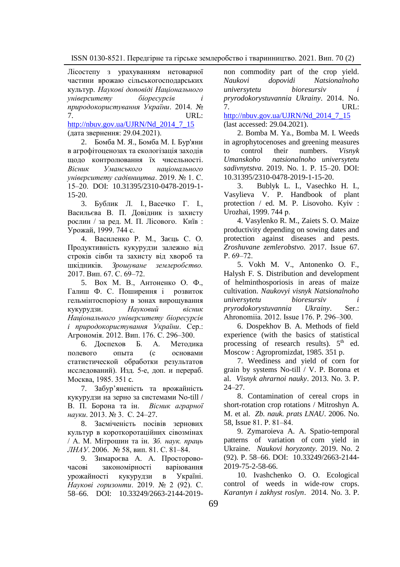Лісостепу з урахуванням нетоварної частини врожаю сільськогосподарських культур. *Наукові доповіді Національного університету біоресурсів і природокористування України*. 2014. № 7. URL: [http://nbuv.gov.ua/UJRN/Nd\\_2014\\_7\\_15](http://nbuv.gov.ua/UJRN/Nd_2014_7_15)

(дата звернення: 29.04.2021).

2. Бомба М. Я., Бомба М. І. Бур'яни в агрофітоценозах та екологізація заходів щодо контролювання їх чисельності. *Вісник Уманського національного університету садівництва*. 2019. № 1. С. 15‒20. DOI: 10.31395/2310-0478-2019-1- 15-20.

3. Бублик Л. І., Васечко Г. І., Васильєва В. П. Довідник із захисту рослин / за ред. М. П. Лісового. Київ : Урожай, 1999. 744 с.

4. Василенко Р. М., Заєць С. О. Продуктивність кукурудзи залежно від строків сівби та захисту від хвороб та шкідників. *Зрошуване землеробство.* 2017. Вип. 67. С. 69‒72.

5. Вох М. В., Антоненко О. Ф., Галиш Ф. С. Поширення і розвиток гельмінтоспоріозу в зонах вирощування кукурудзи. *Науковий вісник Національного університету біоресурсів і природокористування України*. Сер.: Агрономія. 2012. Вип. 176. С. 296‒300.

6. Доспехов Б. А. Методика полевого опыта (с основами статистической обработки результатов исследований). Изд. 5-е, доп. и перераб. Москва, 1985. 351 с.

7. Забур'яненість та врожайність кукурудзи на зерно за системами No-till / В. П. Борона та ін. *Вісник аграрної науки*. 2013. № 3. С. 24–27.

8. Засміченість посівів зернових культур в короткоротаційних сівозмінах / А. М. Мітрошин та ін. *Зб. наук. праць ЛНАУ*. 2006. № 58, вип. 81. С. 81‒84.

9. Зимароєва А. А. Просторовочасові закономірності варіювання урожайності кукурудзи в Україні. *Наукові горизонти*. 2019. № 2 (92). С. 58–66. DOI: 10.33249/2663-2144-2019-

non commodity part of the crop yield. *Naukovi dopovidi Natsionalnoho universytetu bioresursiv i pryrodokorystuvannia Ukrainy*. 2014. No. 7. URL: [http://nbuv.gov.ua/UJRN/Nd\\_2014\\_7\\_15](http://nbuv.gov.ua/UJRN/Nd_2014_7_15)

(last aссessed: 29.04.2021).

2. Bomba M. Ya., Bomba M. I. Weeds in agrophytocenoses and greening measures to control their numbers. *Visnyk Umanskoho natsionalnoho universytetu sadivnytstva*. 2019. No. 1. P. 15–20. DOI: 10.31395/2310-0478-2019-1-15-20.

3. Bublyk L. I., Vasechko H. I., Vasylieva V. P. Handbook of plant protection / ed. M. P. Lisovoho. Kyiv : Urozhai, 1999. 744 р.

4. Vasylenko R. M., Zaiets S. O. Maize productivity depending on sowing dates and protection against diseases and pests. *Zroshuvane zemlerobstvo.* 2017. Issue 67.  $P. 69 - 72.$ 

5. Vokh M. V., Antonenko O. F., Halysh F. S. Distribution and development of helminthosporiosis in areas of maize cultivation. *Naukovyi visnyk Natsionalnoho universytetu bioresursiv i pryrodokorystuvannia Ukrainy*. Ser.: Ahronomiia. 2012. Issue 176. P. 296–300.

6. Dospekhov B. A. Methods of field experience (with the basics of statistical processing of research results).  $5<sup>th</sup>$  ed. Moscow : Agropromizdat, 1985. 351 p.

7. Weediness and yield of corn for grain by systems No-till / V. P. Borona et al. *Visnyk ahrarnoi nauky*. 2013. No. 3. P. 24–27.

8. Contamination of cereal crops in short-rotation crop rotations / Mitroshyn A. M. et al. *Zb. nauk. prats LNAU*. 2006. No. 58, Issue 81. P. 81–84.

9. Zymaroieva A. A. Spatio-temporal patterns of variation of corn yield in Ukraine. *Naukovi horyzonty.* 2019. No. 2 (92). P. 58–66. DOI: 10.33249/2663-2144- 2019-75-2-58-66.

10. Ivashchenko O. O. Ecological control of weeds in wide-row crops. *Karantyn i zakhyst roslyn*. 2014. No. 3. P.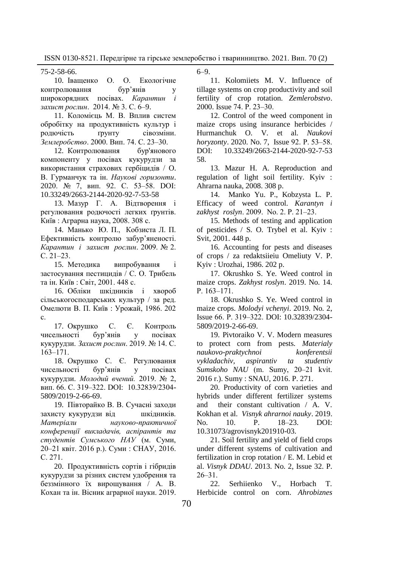75-2-58-66. О. О. Екологічне контролювання бур'янів широкорядних посівах. *Карантин і захист рослин*. 2014. № 3. С. 6–9.

11. Коломієць М. В. Вплив систем обробітку на продуктивність культур і родючість ґрунту сівозміни. *Землеробство*. 2000. Вип. 74. С. 23‒30.

12. Контролювання бур'янового компоненту у посівах кукурудзи за використання страхових гербіцидів / O. В. Гурманчук та ін. *Наукові горизонти*. 2020. № 7, вип. 92. С. 53‒58. DOI: 10.33249/2663-2144-2020-92-7-53-58

13. Мазур Г. А. Відтворення і регулювання родючості легких ґрунтів. Київ : Аграрна наука, 2008. 308 с.

14. Манько Ю. П., Кобзиста Л. П. Ефективність контролю забур'яненості. *Карантин і захист рослин*. 2009. № 2.  $C. 21-23.$ 

15. Методика випробування і застосування пестицидів / С. О. Трибель та ін. Київ : Світ, 2001. 448 с.

16. Обліки шкідників і хвороб сільськогосподарських культур / за ред. Омелюти В. П. Київ : Урожай, 1986. 202 с.

17. Окрушко С. Є. Контроль чисельності бур'янів у посівах кукурудзи. *Захист рослин*. 2019. № 14. С. 163‒171.

18. Окрушко С. Є. Регулювання чисельності бур'янів у посівах кукурудзи. *Молодий вчений.* 2019. № 2, вип. 66. С. 319‒322. DOI: 10.32839/2304- 5809/2019-2-66-69.

19. Півторайко В. В. Сучасні заходи захисту кукурудзи від шкідників. *Матеріали науково-практичної конференції викладачів, аспірантів та студентів Сумського НАУ* (м. Суми, 20‒21 квіт. 2016 р.). Суми : СНАУ, 2016. С. 271.

20. Продуктивність сортів і гібридів кукурудзи за різних систем удобрення та беззмінного їх вирощування / А. В. Кохан та ін. Вісник аграрної науки. 2019.

6–9.

11. Kolomiiets M. V. Influence of tillage systems on crop productivity and soil fertility of crop rotation. *Zemlerobstvo*. 2000. Issue 74. P. 23‒30.

12. Control of the weed component in maize crops using insurance herbicides / Hurmanchuk O. V. et al. *Naukovi horyzonty*. 2020. No. 7, Issue 92. P. 53‒58. DOI: 10.33249/2663-2144-2020-92-7-53 58.

13. Mazur H. A. Reproduction and regulation of light soil fertility. Kyiv : Ahrarna nauka, 2008. 308 p.

14. Manko Yu. P., Kobzysta L. P. Efficacy of weed control. *Karantyn i zakhyst roslyn*. 2009. No. 2. P. 21‒23.

15. Methods of testing and application of pesticides / S. O. Trybel et al. Kyiv : Svit, 2001. 448 p.

16. Accounting for pests and diseases of crops / za redaktsiieiu Omeliuty V. P. Kyiv : Urozhai, 1986. 202 p.

17. Okrushko S. Ye. Weed control in maize crops. *Zakhyst roslyn*. 2019. No. 14. P. 163-171.

18. Okrushko S. Ye. Weed control in maize crops. *Molodyi vchenyi*. 2019. No. 2, Issue 66. P. 319‒322. DOI: 10.32839/2304- 5809/2019-2-66-69.

19. Pivtoraiko V. V. Modern measures to protect corn from pests. *Materialy naukovo-praktychnoi konferentsii vykladachiv, aspirantiv ta studentiv*  Sumskoho NAU (m. Sumy, 20–21 kvit. 2016 r.). Sumy : SNAU, 2016. P. 271.

20. Productivity of corn varieties and hybrids under different fertilizer systems and their constant cultivation / A. V. Kokhan et al. *Visnyk ahrarnoi nauky*. 2019. No. 10. P. 18–23. DOI: 10.31073/agrovisnyk201910-03.

21. Soil fertility and yield of field crops under different systems of cultivation and fertilization in crop rotation / E. M. Lebid et al. *Visnyk DDAU*. 2013. No. 2, Issue 32. P.  $26 - 31$ .

22. Serhiienko V., Horbach T. Herbicide control on corn. *Ahrobiznes*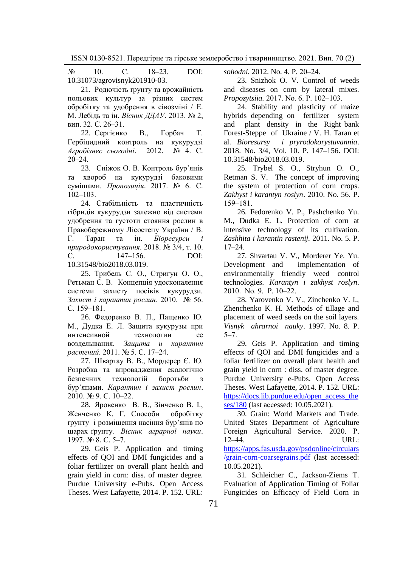$N_2$  10. C. 18–23. DOI: 10.31073/agrovisnyk201910-03.

21. Родючість ґрунту та врожайність польових культур за різних систем обробітку та удобрення в сівозміні / Е. М. Лебідь та ін. *Вісник ДДАУ*. 2013. № 2, вип. 32. С. 26‒31.

22. Сергієнко В., Горбач Т. Гербіцидний контроль на кукурудзі *Агробізнес сьогодні*. 2012. № 4. С.  $20 - 24$ .

23. Сніжок О. В. Контроль бур'янів та хвороб на кукурудзі баковими сумішами. *Пропозиція*. 2017. № 6. С.  $102 - 103$ 

24. Стабільність та пластичність гібридів кукурудзи залежно від системи удобрення та густоти стояння рослин в Правобережному Лісостепу України / В. Г. Таран та ін. *Біоресурси і природокористування*. 2018. № 3/4, т. 10. С. 147‒156. DOI: 10.31548/bio2018.03.019.

25. Трибель С. О., Стригун О. О., Ретьман С. В. Концепція удосконалення системи захисту посівів кукурудзи. *Захист і карантин рослин.* 2010. № 56. С. 159-181.

26. Федоренко В. П., Пащенко Ю. М., Дудка Е. Л. Защита кукурузы при интенсивной технологии ее возделывания. *Защита и карантин растений*. 2011. № 5. С. 17‒24.

27. Швартау В. В., Мордерер Є. Ю. Розробка та впровадження екологічно безпечних технологій боротьби з бур'янами. *Карантин і захист рослин*. 2010. № 9. С. 10–22.

28. Яровенко В. В., Зінченко В. І., Женченко К. Г. Способи обробітку ґрунту і розміщення насіння бур'янів по шарах ґрунту. *Вісник аграрної науки*. 1997. № 8. С. 5‒7.

29. Geis P. Application and timing effects of QOI and DMI fungicides and a foliar fertilizer on overall plant health and grain yield in corn: diss. of master degree. Purdue University e-Pubs. Open Access Theses. West Lafayette, 2014. P. 152. URL:

*sohodni.* 2012. No. 4. P. 20‒24.

23. Snizhok O. V. Control of weeds and diseases on corn by lateral mixes. *Propozytsiia.* 2017. No. 6. P. 102‒103.

24. Stability and plasticity of maize hybrids depending on fertilizer system and plant density in the Right bank Forest-Steppe of Ukraine / V. H. Taran et al. *Bioresursy i pryrodokorystuvannia*. 2018. No. 3/4, Vol. 10. P. 147–156. DOI: 10.31548/bio2018.03.019.

25. Trybel S. O., Stryhun O. O., Retman S. V. The concept of improving the system of protection of corn crops. *Zakhyst i karantyn roslyn*. 2010. No. 56. P. 159‒181.

26. Fedorenko V. P., Pashchenko Yu. M., Dudka E. L. Protection of corn at intensive technology of its cultivation. *Zashhita i karantin rastenij.* 2011. No. 5. P.  $17 - 24$ .

27. Shvartau V. V., Morderer Ye. Yu. Development and implementation of environmentally friendly weed control technologies. *Karantyn i zakhyst roslyn*. 2010. No. 9. P. 10‒22.

28. Yarovenko V. V., Zinchenko V. I., Zhenchenko K. H. Methods of tillage and placement of weed seeds on the soil layers. *Visnyk ahrarnoi nauky*. 1997. No. 8. P.  $5 - 7.$ 

29. Geis P. Application and timing effects of QOI and DMI fungicides and a foliar fertilizer on overall plant health and grain yield in corn : diss. of master degree. Purdue University e-Pubs. Open Access Theses. West Lafayette, 2014. P. 152. URL: [https://docs.lib.purdue.edu/open\\_access\\_the](https://docs.lib.purdue.edu/open_access_theses/180) [ses/180](https://docs.lib.purdue.edu/open_access_theses/180) (last aссessed: 10.05.2021).

30. Grain: World Markets and Trade. United States Department of Agriculture Foreign Agricultural Service. 2020. Р. 12‒44. URL: [https://apps.fas.usda.gov/psdonline/circulars](https://apps.fas.usda.gov/psdonline/circulars/grain-corn-coarsegrains.pdf)

[/grain-corn-coarsegrains.pdf](https://apps.fas.usda.gov/psdonline/circulars/grain-corn-coarsegrains.pdf) (last aссessed: 10.05.2021).

31. Schleicher C., Jackson-Ziems T. Evaluation of Application Timing of Foliar Fungicides on Efficacy of Field Corn in